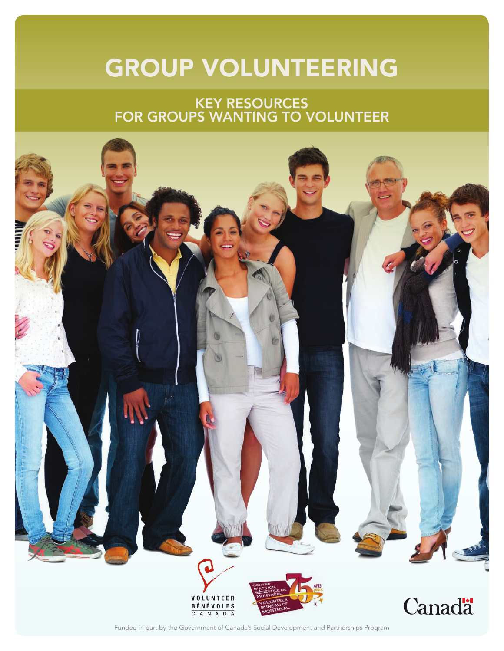### GROUP VOLUNTEERING

### KEY RESOURCES FOR GROUPS WANTING TO VOLUNTEER



Funded in part by the [Government of Can](http://www.volunteer.ca)[ada's Social Development and](http://cabm.net/en) Partnerships Program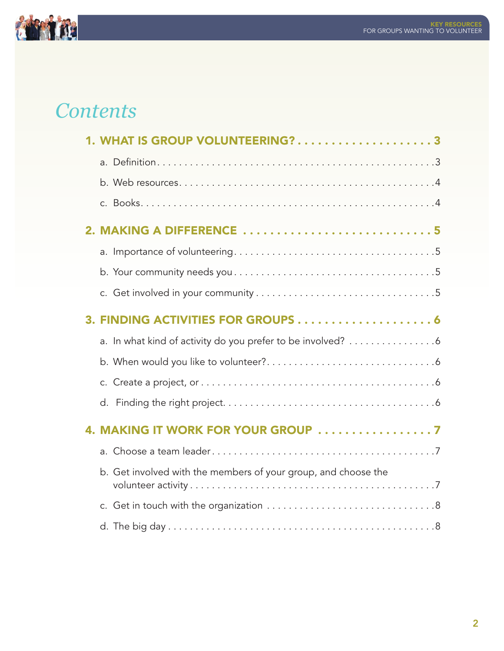

### *Contents*

| WHAT IS GROUP VOLUNTEERING?3                                   |
|----------------------------------------------------------------|
|                                                                |
|                                                                |
|                                                                |
| 2. MAKING A DIFFERENCE  5                                      |
|                                                                |
|                                                                |
|                                                                |
|                                                                |
| a. In what kind of activity do you prefer to be involved? 6    |
|                                                                |
| C.                                                             |
| d.                                                             |
|                                                                |
| a <sub>z</sub>                                                 |
| b. Get involved with the members of your group, and choose the |
|                                                                |
|                                                                |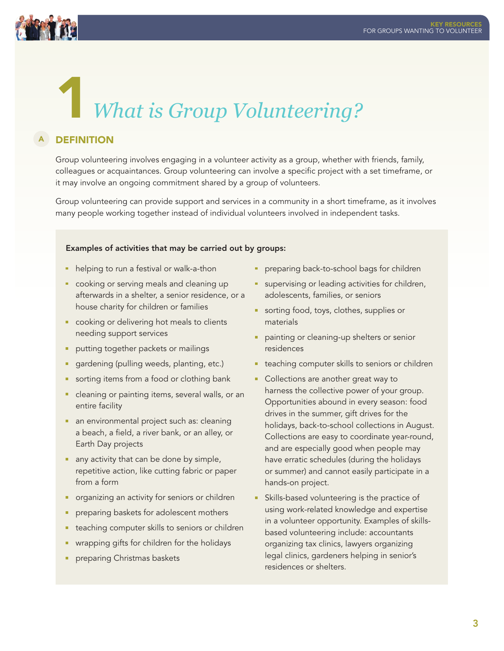<span id="page-2-0"></span>

### 1*What is Group Volunteering?*

#### **DEFINITION** A

Group volunteering involves engaging in a volunteer activity as a group, whether with friends, family, colleagues or acquaintances. Group volunteering can involve a specific project with a set timeframe, or it may involve an ongoing commitment shared by a group of volunteers.

Group volunteering can provide support and services in a community in a short timeframe, as it involves many people working together instead of individual volunteers involved in independent tasks.

### Examples of activities that may be carried out by groups:

- **helping to run a festival or walk-a-thon**
- cooking or serving meals and cleaning up afterwards in a shelter, a senior residence, or a house charity for children or families
- cooking or delivering hot meals to clients needing support services
- putting together packets or mailings
- **gardening (pulling weeds, planting, etc.)**
- sorting items from a food or clothing bank
- **cleaning or painting items, several walls, or an** entire facility
- an environmental project such as: cleaning a beach, a field, a river bank, or an alley, or Earth Day projects
- any activity that can be done by simple, repetitive action, like cutting fabric or paper from a form
- organizing an activity for seniors or children
- **Perior** preparing baskets for adolescent mothers
- **teaching computer skills to seniors or children**
- wrapping gifts for children for the holidays
- **Parth** preparing Christmas baskets
- preparing back-to-school bags for children
- supervising or leading activities for children, adolescents, families, or seniors
- sorting food, toys, clothes, supplies or materials
- painting or cleaning-up shelters or senior residences
- **teaching computer skills to seniors or children**
- Collections are another great way to harness the collective power of your group. Opportunities abound in every season: food drives in the summer, gift drives for the holidays, back-to-school collections in August. Collections are easy to coordinate year-round, and are especially good when people may have erratic schedules (during the holidays or summer) and cannot easily participate in a hands-on project.
- **Skills-based volunteering is the practice of** using work-related knowledge and expertise in a volunteer opportunity. Examples of skillsbased volunteering include: accountants organizing tax clinics, lawyers organizing legal clinics, gardeners helping in senior's residences or shelters.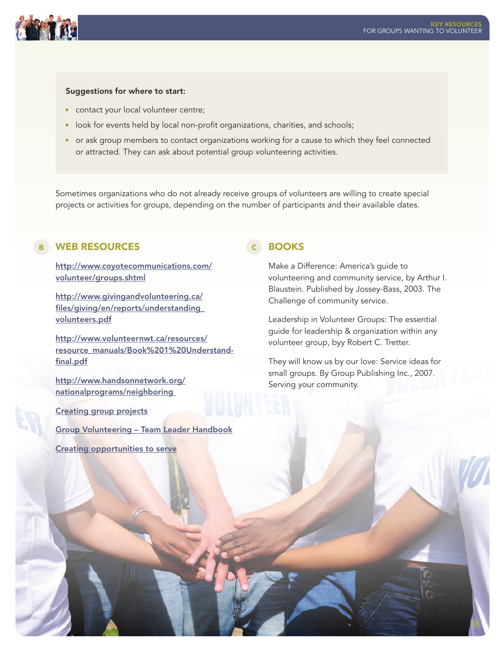<span id="page-3-0"></span>

#### Suggestions for where to start:

- contact your local volunteer centre;
- **IDOM** for events held by local non-profit organizations, charities, and schools;
- or ask group members to contact organizations working for a cause to which they feel connected or attracted. They can ask about potential group volunteering activities.

Sometimes organizations who do not already receive groups of volunteers are willing to create special projects or activities for groups, depending on the number of participants and their available dates.

### B WEB RESOURCES **CONTAINS IN THE CONTROL**

[http://www.coyotecommunications.com/](http://www.coyotecommunications.com/volunteer/groups.shtml) volunteer/groups.shtml

[http://www.givingandvolunteering.ca/](http://www.givingandvolunteering.ca/files/giving/en/reports/understanding_volunteers.pdf)  files/giving/en/reports/understanding\_ volunteers.pdf

http://www.volunteernwt.ca/resources/ [resource\\_manuals/Book%201%20Understand](http://www.volunteernwt.ca/resources/resource_manuals/Book%201%20Understand-final.pdf)final.pdf

[http://www.handsonnetwork.org/](http://www.handsonnetwork.org/nationalprograms/neighboring) nationalprograms/neighboring

[Creating group projects](https://volunteer.ca/content/points-light-foundation-creating-group-projects)

[Group Volunteering – Team Leader Handbook](https://volunteer.ca/content/vmb-group-volunteering-team-leader-handbook)

[Creating opportunities to serve](https://volunteer.ca/content/hands-network-creating-opportunities-serve)

### **BOOKS**

Make a Difference: America's guide to volunteering and community service, by Arthur I. Blaustein. Published by Jossey-Bass, 2003. The Challenge of community service.

Leadership in Volunteer Groups: The essential guide for leadership & organization within any volunteer group, byy Robert C. Tretter.

They will know us by our love: Service ideas for small groups. By Group Publishing Inc., 2007. Serving your community.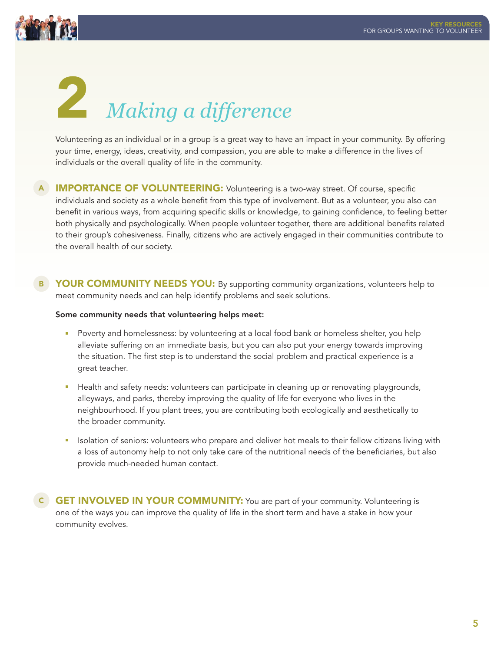<span id="page-4-0"></span>

# 2 *Making a difference*

Volunteering as an individual or in a group is a great way to have an impact in your community. By offering your time, energy, ideas, creativity, and compassion, you are able to make a difference in the lives of individuals or the overall quality of life in the community.

- A **IMPORTANCE OF VOLUNTEERING:** Volunteering is a two-way street. Of course, specific individuals and society as a whole benefit from this type of involvement. But as a volunteer, you also can benefit in various ways, from acquiring specific skills or knowledge, to gaining confidence, to feeling better both physically and psychologically. When people volunteer together, there are additional benefits related to their group's cohesiveness. Finally, citizens who are actively engaged in their communities contribute to the overall health of our society.
- **B** YOUR COMMUNITY NEEDS YOU: By supporting community organizations, volunteers help to meet community needs and can help identify problems and seek solutions.

#### Some community needs that volunteering helps meet:

- Poverty and homelessness: by volunteering at a local food bank or homeless shelter, you help alleviate suffering on an immediate basis, but you can also put your energy towards improving the situation. The first step is to understand the social problem and practical experience is a great teacher.
- **Health and safety needs: volunteers can participate in cleaning up or renovating playgrounds,** alleyways, and parks, thereby improving the quality of life for everyone who lives in the neighbourhood. If you plant trees, you are contributing both ecologically and aesthetically to the broader community.
- **In** Isolation of seniors: volunteers who prepare and deliver hot meals to their fellow citizens living with a loss of autonomy help to not only take care of the nutritional needs of the beneficiaries, but also provide much-needed human contact.

C GET INVOLVED IN YOUR COMMUNITY: You are part of your community. Volunteering is one of the ways you can improve the quality of life in the short term and have a stake in how your community evolves.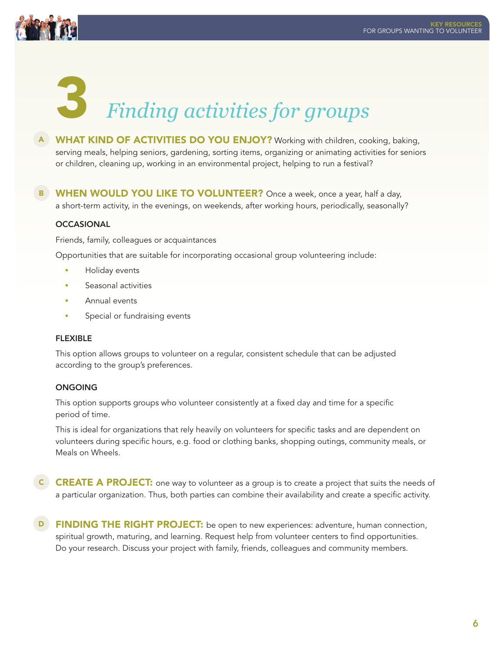<span id="page-5-0"></span>

### 3 *Finding activities for groups*

- A WHAT KIND OF ACTIVITIES DO YOU ENJOY? Working with children, cooking, baking, serving meals, helping seniors, gardening, sorting items, organizing or animating activities for seniors or children, cleaning up, working in an environmental project, helping to run a festival?
- B WHEN WOULD YOU LIKE TO VOLUNTEER? Once a week, once a year, half a day, a short-term activity, in the evenings, on weekends, after working hours, periodically, seasonally?

### **OCCASIONAL**

Friends, family, colleagues or acquaintances

Opportunities that are suitable for incorporating occasional group volunteering include:

- **Holiday events**
- $\overline{\phantom{a}}$ Seasonal activities
- Annual events  $\mathbf{r}$
- m, Special or fundraising events

### FLEXIBLE

This option allows groups to volunteer on a regular, consistent schedule that can be adjusted according to the group's preferences.

### ONGOING

This option supports groups who volunteer consistently at a fixed day and time for a specific period of time.

This is ideal for organizations that rely heavily on volunteers for specific tasks and are dependent on volunteers during specific hours, e.g. food or clothing banks, shopping outings, community meals, or Meals on Wheels.

- **C CREATE A PROJECT:** one way to volunteer as a group is to create a project that suits the needs of a particular organization. Thus, both parties can combine their availability and create a specific activity.
- **D** FINDING THE RIGHT PROJECT: be open to new experiences: adventure, human connection, spiritual growth, maturing, and learning. Request help from volunteer centers to find opportunities. Do your research. Discuss your project with family, friends, colleagues and community members.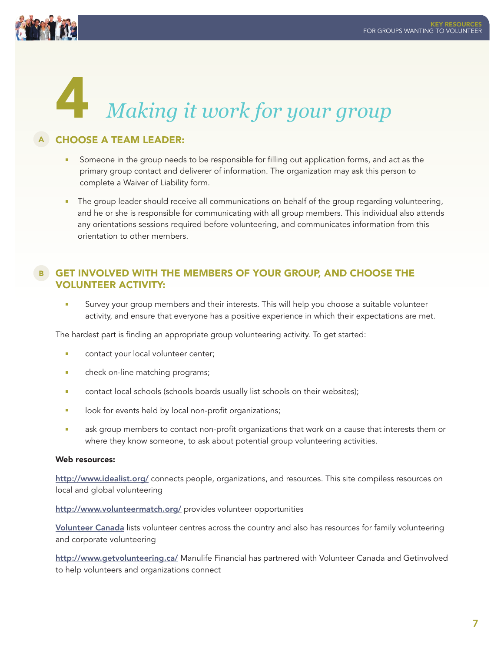<span id="page-6-0"></span>

## 4 *Making it work for your group*

### A CHOOSE A TEAM LEADER:

- Someone in the group needs to be responsible for filling out application forms, and act as the  $\mathbf{u}$ primary group contact and deliverer of information. The organization may ask this person to complete a Waiver of Liability form.
- **The group leader should receive all communications on behalf of the group regarding volunteering,** and he or she is responsible for communicating with all group members. This individual also attends any orientations sessions required before volunteering, and communicates information from this orientation to other members.

### B GET INVOLVED WITH THE MEMBERS OF YOUR GROUP, AND CHOOSE THE volunteer activity:

**Survey your group members and their interests. This will help you choose a suitable volunteer** activity, and ensure that everyone has a positive experience in which their expectations are met.

The hardest part is finding an appropriate group volunteering activity. To get started:

- contact your local volunteer center;
- **E** check on-line matching programs;
- **COLACCE 15 CONTEGE** contact local schools (schools boards usually list schools on their websites);
- **IDUA:** look for events held by local non-profit organizations;
- **a** ask group members to contact non-profit organizations that work on a cause that interests them or where they know someone, to ask about potential group volunteering activities.

### Web resources:

<http://www.idealist.org/> connects people, organizations, and resources. This site compiless resources on local and global volunteering

<http://www.volunteermatch.org/> provides volunteer opportunities

[Volunteer Canada](http://volunteer.ca/home) lists volunteer centres across the country and also has resources for family volunteering and corporate volunteering

<http://www.getvolunteering.ca/> Manulife Financial has partnered with Volunteer Canada and Getinvolved to help volunteers and organizations connect